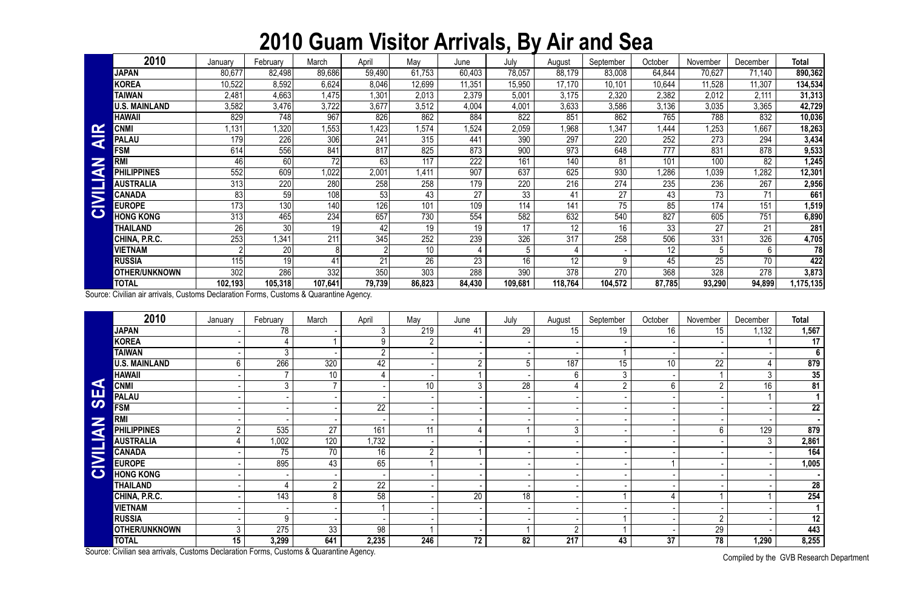## **2010 Guam Visitor Arrivals, By Air and Sea**

Compiled by the GVB Research Department

|                         | 2010                 | January | February | March   | April  | May             | June             | July    | August  | September | October | November | December        | <b>Total</b>     |
|-------------------------|----------------------|---------|----------|---------|--------|-----------------|------------------|---------|---------|-----------|---------|----------|-----------------|------------------|
|                         | <b>JAPAN</b>         | 80,677  | 82,498   | 89,686  | 59,490 | 61,753          | 60,403           | 78,057  | 88,179  | 83,008    | 64,844  | 70,627   | 71,140          | 890,362          |
|                         | <b>KOREA</b>         | 10,522  | 8,592    | 6,624   | 8,046  | 12,699          | 11,351           | 15,950  | 17,170  | 10,101    | 10,644  | 11,528   | 11,307          | 134,534          |
|                         | <b>TAIWAN</b>        | 2,481   | 4,663    | 1,475   | 1,30   | 2,013           | 2,379            | 5,001   | 3,175   | 2,320     | 2,382   | 2,012    | 2,111           | 31,313           |
|                         | U.S. MAINLAND        | 3,582   | 3,476    | 3,722   | 3,677  | 3,512           | 4,004            | 4,001   | 3,633   | 3,586     | 3,136   | 3,035    | 3,365           | 42,729           |
|                         | HAWAII               | 829     | 748      | 967     | 826    | 862             | 884              | 822     | 851     | 862       | 765     | 788      | 832             | 10,036           |
| $\mathbf{\alpha}$       | <b>CNM</b>           | ,131    | ,320     | .553    | 1,423  | .574            | .524             | 2,059   | 968.    | ,347      | .444    | 1,253    | 1,667           | 18,263           |
| <b>Contract</b><br>◀    | <b>PALAU</b>         | 179     | 226      | 306     | 241    | 315             | 441              | 390     | 297     | 220       | 252     | 273      | 294             | 3,434            |
|                         | <b>FSM</b>           | 614     | 556      | 841     | 817    | 825             | 873              | 900     | 973     | 648       | 777     | 831      | 878             | 9,533            |
| ⋝                       | <b>RMI</b>           | 46      | 60       | 72      | 63     | 117             | $\overline{222}$ | 161     | 140     | 81        | 101     | 100      | 82              | 1,245            |
| G                       | <b>PHILIPPINES</b>   | 552     | 609      | ,022    | 2,001  | 1,411           | 907              | 637     | 625     | 930       | ,286    | 1,039    | ,282            | 12,301           |
|                         | <b>AUSTRALIA</b>     | 313     | 220      | 280     | 258    | 258             | 179              | 220     | 216     | 274       | 235     | 236      | 267             | 2,956            |
| $\overline{\mathbf{M}}$ | <b>CANADA</b>        | 83      | 59       | 108     | 53     | 43              | 27               | 33      | 41      | 27        | 43      | 73       | 71              | 661              |
|                         | <b>EUROPE</b>        | 173     | 130      | 140     | 126    | 101             | 109              | 114     | 141     | 75        | 85      | 174      | 151             | 1,519            |
| $\mathbf C$             | <b>HONG KONG</b>     | 313     | 465      | 234     | 657    | 730             | 554              | 582     | 632     | 540       | 827     | 605      | 751             | 6,890            |
|                         | THAILAND             | 26      | 30       | 19      | 42     | 19              | 19               | 17      | 12      | 16        | 33      | 27       | 21              | 281              |
|                         | CHINA, P.R.C.        | 253     | 1,341    | 211     | 345    | 252             | 239              | 326     | 317     | 258       | 506     | 331      | 326             | 4,705            |
|                         | <b>VIETNAM</b>       |         | 20       |         |        | 10 <sup>°</sup> |                  |         |         |           | 12      |          | $6\overline{6}$ | 78               |
|                         | <b>RUSSIA</b>        | 115     | 19       | 41      | 21     | 26              | 23               | 16      | 12      | 9         | 45      | 25       | 70              | 422              |
|                         | <b>OTHER/UNKNOWN</b> | 302     | 286      | 332     | 350    | 303             | 288              | 390     | 378     | 270       | 368     | 328      | 278             | 3,873            |
|                         | <b>TOTAL</b>         | 102,193 | 105,318  | 107,641 | 79,739 | 86,823          | 84,430           | 109,681 | 118,764 | 104,572   | 87,785  | 93,290   | 94,899          | 1,175,135 $\mid$ |

|                       | <b>CNMI</b>                                                                            | 1,131          | 1,320           | 1,553            | 1,423           | 1,574           | 1,524           | 2,059           | 1,968            | 1,347           | 1,444           | 1,253            | 1,667          | 18,263                 |
|-----------------------|----------------------------------------------------------------------------------------|----------------|-----------------|------------------|-----------------|-----------------|-----------------|-----------------|------------------|-----------------|-----------------|------------------|----------------|------------------------|
| <b>AIR</b>            | <b>PALAU</b>                                                                           | 179            | 226             | 306              | 241             | 315             | 441             | 390             | 297              | 220             | 252             | 273              | 294            | 3,434                  |
| Z<br>CIVILIA          | <b>FSM</b>                                                                             | 614            | 556             | 841              | 817             | 825             | 873             | 900             | 973              | 648             | 777             | 831              | 878            | 9,533                  |
|                       | <b>RMI</b>                                                                             | 46             | 60              | 72               | 63              | 117             | 222             | 161             | 140              | 81              | 101             | 100              | 82             | 1,245                  |
|                       | <b>PHILIPPINES</b>                                                                     | 552            | 609             | 1,022            | 2,001           | 1,411           | 907             | 637             | 625              | 930             | 1,286           | 1,039            | 1,282          | 12,301                 |
|                       | <b>AUSTRALIA</b>                                                                       | 313            | 220             | 280              | 258             | 258             | 179             | 220             | 216              | 274             | 235             | 236              | 267            | 2,956                  |
|                       | <b>CANADA</b>                                                                          | 83             | 59              | 108              | $\overline{53}$ | 43              | 27              | $\overline{33}$ | 41               | $\overline{27}$ | 43              | $\overline{73}$  | 71             | 661                    |
|                       | <b>EUROPE</b>                                                                          | 173            | 130             | 140              | 126             | 101             | 109             | 114             | 141              | 75              | 85              | 174              | 151            | 1,519                  |
|                       | <b>HONG KONG</b>                                                                       | 313            | 465             | 234              | 657             | 730             | 554             | 582             | 632              | 540             | 827             | 605              | 751            | 6,890                  |
|                       | <b>THAILAND</b>                                                                        | 26             | $\overline{30}$ | 19               | 42              | 19              | 19              | 17              | 12               | 16              | $\overline{33}$ | $\overline{27}$  | 21             | 281                    |
|                       | CHINA, P.R.C.                                                                          | 253            | 1,341           | $\overline{211}$ | 345             | 252             | 239             | 326             | $\overline{317}$ | 258             | 506             | 331              | 326            | 4,705                  |
|                       | <b>VIETNAM</b>                                                                         |                | 20              | 8 <sup>1</sup>   | $\overline{2}$  | 10              |                 | 5               |                  |                 | 12              | $5\phantom{.0}$  | 6              | 78                     |
|                       | <b>RUSSIA</b>                                                                          | 115            | $\overline{19}$ | $\overline{41}$  | $\overline{21}$ | $\overline{26}$ | $\overline{23}$ | 16              | $\overline{12}$  | 9               | $\overline{45}$ | $\overline{25}$  | 70             | 422                    |
|                       | <b>OTHER/UNKNOWN</b>                                                                   | 302            | 286             | 332              | 350             | 303             | 288             | 390             | 378              | 270             | 368             | 328              | 278            | 3,873                  |
|                       | <b>TOTAL</b>                                                                           | 102,193        | 105,318         | 107,641          | 79,739          | 86,823          | 84,430          | 109,681         | 118,764          | 104,572         | 87,785          | 93,290           | 94,899         | 1,175,135              |
|                       | Source: Civilian air arrivals, Customs Declaration Forms, Customs & Quarantine Agency. |                |                 |                  |                 |                 |                 |                 |                  |                 |                 |                  |                |                        |
|                       | 2010                                                                                   | January        | February        | March            | April           | May             | June            | July            | August           | September       | October         | November         | December       | Total                  |
|                       | <b>JAPAN</b>                                                                           |                | 78              |                  | 3 <sup>1</sup>  | 219             | 41              | 29              | 15               | 19              | 16              | 15 <sub>15</sub> | 1,132          | 1,567                  |
|                       | <b>KOREA</b>                                                                           |                | 4               |                  | 9               | $\overline{2}$  |                 |                 |                  |                 |                 |                  |                | $\overline{17}$        |
|                       | <b>TAIWAN</b>                                                                          |                | 3 <sup>1</sup>  |                  | $\overline{2}$  |                 |                 |                 |                  |                 |                 |                  |                | $6\phantom{1}$         |
|                       | <b>U.S. MAINLAND</b>                                                                   | $6\phantom{.}$ | 266             | 320              | $\overline{42}$ |                 | $\overline{2}$  | 5               | 187              | 15              | $\overline{10}$ | $\overline{22}$  | 4              | 879                    |
|                       | <b>HAWAII</b>                                                                          |                |                 | 10               | $\overline{4}$  |                 |                 |                 | 6                | 3               |                 | $\mathbf{1}$     | $\mathfrak{Z}$ | 35                     |
| $\blacktriangleleft$  | <b>CNMI</b>                                                                            |                | $\mathfrak{Z}$  | $7^{\circ}$      |                 | 10              | $\mathfrak{Z}$  | 28              |                  | $\overline{2}$  | 6               | $\overline{2}$   | 16             | 81                     |
| <b>SE</b>             | <b>PALAU</b>                                                                           |                |                 |                  |                 |                 |                 |                 |                  |                 |                 |                  |                | $\mathbf 1$            |
|                       | <b>FSM</b>                                                                             |                |                 |                  | $\overline{22}$ |                 |                 |                 |                  |                 |                 |                  |                | 22                     |
|                       | <b>RMI</b>                                                                             |                |                 |                  |                 |                 |                 |                 |                  |                 |                 |                  |                |                        |
|                       | <b>PHILIPPINES</b>                                                                     | $\overline{2}$ | 535             | 27               | 161             | 11              | 4               |                 | $\mathfrak{Z}$   |                 |                 | $6\phantom{.0}$  | 129            | 879                    |
| <b>NAI.</b>           | <b>AUSTRALIA</b>                                                                       | 4              | 1,002           | 120              | 1,732           |                 |                 |                 |                  |                 |                 |                  | 3              | 2,861                  |
| E.                    | <b>CANADA</b>                                                                          |                | 75              | 70               | 16              | $\overline{2}$  |                 |                 |                  |                 |                 |                  |                | 164                    |
| $\blacktriangleright$ | <b>EUROPE</b>                                                                          |                | 895             | 43               | 65              |                 |                 |                 |                  |                 |                 |                  |                | 1,005                  |
| $\bullet$             | <b>HONG KONG</b>                                                                       |                |                 |                  |                 |                 |                 |                 |                  |                 |                 |                  |                |                        |
|                       | <b>THAILAND</b>                                                                        |                |                 | $\overline{2}$   | $\overline{22}$ |                 |                 |                 |                  |                 |                 |                  |                | 28                     |
|                       | CHINA, P.R.C.                                                                          |                | 143             | 8                | $\overline{58}$ |                 | 20              | 18              |                  |                 | 4               |                  |                | 254                    |
|                       | <b>VIETNAM</b>                                                                         |                |                 |                  |                 |                 |                 |                 |                  |                 |                 |                  |                | $\mathbf{1}$           |
|                       | <b>RUSSIA</b>                                                                          |                | 9               |                  |                 |                 |                 |                 |                  |                 |                 | $\overline{2}$   |                | 12                     |
|                       | <b>OTHER/UNKNOWN</b>                                                                   | $\mathfrak{Z}$ | 275             | 33               | 98              |                 |                 |                 | $\overline{2}$   | 1               |                 | 29               |                | 443                    |
|                       | <b>TOTAL</b>                                                                           | 15             | 3,299           | 641              | 2,235           | 246             | 72              | 82              | 217              | 43              | 37              | 78               | 1,290          | 8,255                  |
|                       | Source: Civilian sea arrivals, Customs Declaration Forms, Customs & Quarantine Agency. |                |                 |                  |                 |                 |                 |                 |                  |                 |                 |                  |                | $\bigcap$ in $\bigcap$ |